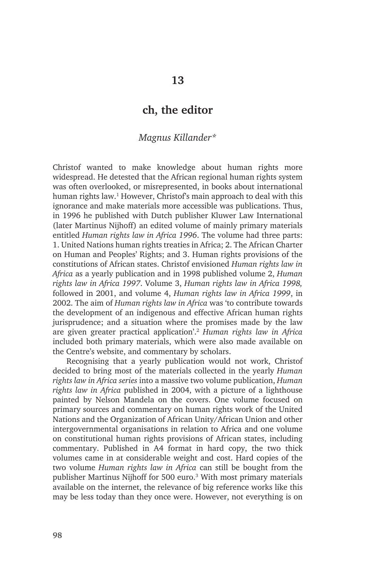## **ch, the editor**

## *Magnus Killander\**

Christof wanted to make knowledge about human rights more widespread. He detested that the African regional human rights system was often overlooked, or misrepresented, in books about international human rights law.<sup>1</sup> However, Christof's main approach to deal with this ignorance and make materials more accessible was publications. Thus, in 1996 he published with Dutch publisher Kluwer Law International (later Martinus Nijhoff) an edited volume of mainly primary materials entitled *Human rights law in Africa 1996*. The volume had three parts: 1. United Nations human rights treaties in Africa; 2. The African Charter on Human and Peoples' Rights; and 3. Human rights provisions of the constitutions of African states. Christof envisioned *Human rights law in Africa* as a yearly publication and in 1998 published volume 2, *Human rights law in Africa 1997*. Volume 3, *Human rights law in Africa 1998,*  followed in 2001, and volume 4, *Human rights law in Africa 1999*, in 2002. The aim of *Human rights law in Africa* was 'to contribute towards the development of an indigenous and effective African human rights jurisprudence; and a situation where the promises made by the law are given greater practical application'.2 *Human rights law in Africa*  included both primary materials, which were also made available on the Centre's website, and commentary by scholars.

Recognising that a yearly publication would not work, Christof decided to bring most of the materials collected in the yearly *Human rights law in Africa series* into a massive two volume publication, *Human rights law in Africa* published in 2004, with a picture of a lighthouse painted by Nelson Mandela on the covers. One volume focused on primary sources and commentary on human rights work of the United Nations and the Organization of African Unity/African Union and other intergovernmental organisations in relation to Africa and one volume on constitutional human rights provisions of African states, including commentary. Published in A4 format in hard copy, the two thick volumes came in at considerable weight and cost. Hard copies of the two volume *Human rights law in Africa* can still be bought from the publisher Martinus Nijhoff for 500 euro.<sup>3</sup> With most primary materials available on the internet, the relevance of big reference works like this may be less today than they once were. However, not everything is on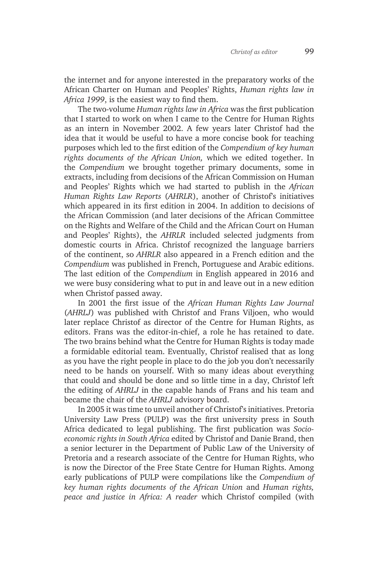the internet and for anyone interested in the preparatory works of the African Charter on Human and Peoples' Rights, *Human rights law in Africa 1999*, is the easiest way to find them.

The two-volume *Human rights law in Africa* was the first publication that I started to work on when I came to the Centre for Human Rights as an intern in November 2002. A few years later Christof had the idea that it would be useful to have a more concise book for teaching purposes which led to the first edition of the *Compendium of key human rights documents of the African Union,* which we edited together. In the *Compendium* we brought together primary documents, some in extracts, including from decisions of the African Commission on Human and Peoples' Rights which we had started to publish in the *African Human Rights Law Reports* (*AHRLR*), another of Christof's initiatives which appeared in its first edition in 2004. In addition to decisions of the African Commission (and later decisions of the African Committee on the Rights and Welfare of the Child and the African Court on Human and Peoples' Rights), the *AHRLR* included selected judgments from domestic courts in Africa. Christof recognized the language barriers of the continent, so *AHRLR* also appeared in a French edition and the *Compendium* was published in French, Portuguese and Arabic editions. The last edition of the *Compendium* in English appeared in 2016 and we were busy considering what to put in and leave out in a new edition when Christof passed away.

In 2001 the first issue of the *African Human Rights Law Journal*  (*AHRLJ*) was published with Christof and Frans Viljoen, who would later replace Christof as director of the Centre for Human Rights, as editors. Frans was the editor-in-chief, a role he has retained to date. The two brains behind what the Centre for Human Rights is today made a formidable editorial team. Eventually, Christof realised that as long as you have the right people in place to do the job you don't necessarily need to be hands on yourself. With so many ideas about everything that could and should be done and so little time in a day, Christof left the editing of *AHRLJ* in the capable hands of Frans and his team and became the chair of the *AHRLJ* advisory board.

In 2005 it was time to unveil another of Christof's initiatives. Pretoria University Law Press (PULP) was the first university press in South Africa dedicated to legal publishing. The first publication was *Socioeconomic rights in South Africa* edited by Christof and Danie Brand, then a senior lecturer in the Department of Public Law of the University of Pretoria and a research associate of the Centre for Human Rights, who is now the Director of the Free State Centre for Human Rights. Among early publications of PULP were compilations like the *Compendium of key human rights documents of the African Union* and *Human rights, peace and justice in Africa: A reader* which Christof compiled (with